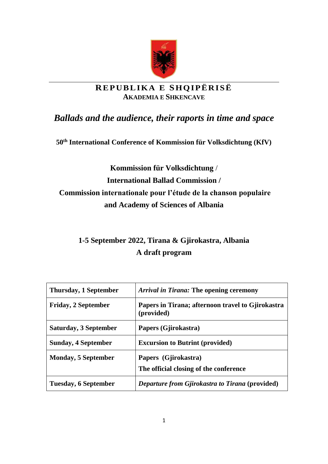

# **RE P UB L IKA E SHQ IP Ë R IS Ë AKADEMIA E SHKENCAVE**

# *Ballads and the audience, their raports in time and space*

**50th International Conference of Kommission für Volksdichtung (KfV)**

# **Kommission für Volksdichtung** / **International Ballad Commission / Commission internationale pour l'étude de la chanson populaire and Academy of Sciences of Albania**

# **1-5 September 2022, Tirana & Gjirokastra, Albania A draft program**

| <b>Thursday, 1 September</b> | <i>Arrival in Tirana:</i> The opening ceremony                  |
|------------------------------|-----------------------------------------------------------------|
| <b>Friday, 2 September</b>   | Papers in Tirana; afternoon travel to Gjirokastra<br>(provided) |
| Saturday, 3 September        | Papers (Gjirokastra)                                            |
| <b>Sunday, 4 September</b>   | <b>Excursion to Butrint (provided)</b>                          |
| <b>Monday, 5 September</b>   | Papers (Gjirokastra)<br>The official closing of the conference  |
| <b>Tuesday, 6 September</b>  | Departure from Gjirokastra to Tirana (provided)                 |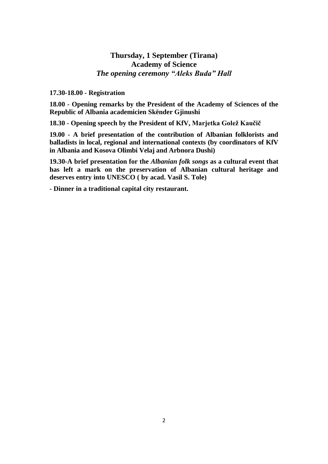# **Thursday, 1 September (Tirana) Academy of Science** *The opening ceremony "Aleks Buda" Hall*

**17.30-18.00 - Registration**

**18.00 - Opening remarks by the President of the Academy of Sciences of the Republic of Albania academicien Skënder Gjinushi**

**18.30 - Opening speech by the President of KfV, Marjetka Golež Kaučič**

**19.00 - A brief presentation of the contribution of Albanian folklorists and balladists in local, regional and international contexts (by coordinators of KfV in Albania and Kosova Olimbi Velaj and Arbnora Dushi)**

**19.30-A brief presentation for the** *Albanian folk songs* **as a cultural event that has left a mark on the preservation of Albanian cultural heritage and deserves entry into UNESCO ( by acad. Vasil S. Tole)**

**- Dinner in a traditional capital city restaurant.**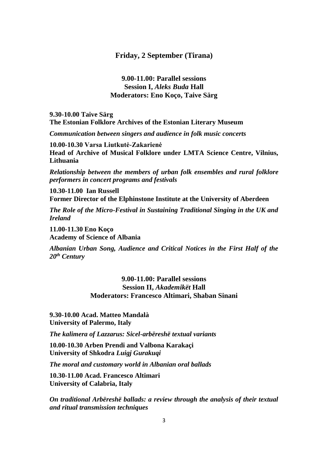### **Friday, 2 September (Tirana)**

## **9.00-11.00: Parallel sessions Session I,** *Aleks Buda* **Hall Moderators: Eno Koço, Taive Särg**

**9.30-10.00 Taive Särg The Estonian Folklore Archives of the Estonian Literary Museum**

*Communication between singers and audience in folk music concerts*

**10.00-10.30 Varsa Liutkutė-Zakarienė Head of Archive of Musical Folklore under LMTA Science Centre, Vilnius, Lithuania**

*Relationship between the members of urban folk ensembles and rural folklore performers in concert programs and festivals*

**10.30-11.00 Ian Russell Former Director of the Elphinstone Institute at the University of Aberdeen**

*The Role of the Micro-Festival in Sustaining Traditional Singing in the UK and Ireland*

**11.00-11.30 Eno Koço Academy of Science of Albania**

*Albanian Urban Song, Audience and Critical Notices in the First Half of the 20th Century*

> **9.00-11.00: Parallel sessions Session II,** *Akademikët* **Hall Moderators: Francesco Altimari, Shaban Sinani**

**9.30-10.00 Acad. Matteo Mandalà University of Palermo, Italy**

*The kalimera of Lazzarus: Sicel-arbëreshë textual variants*

**10.00-10.30 Arben Prendi and Valbona Karakaçi University of Shkodra** *Luigj Gurakuqi*

*The moral and customary world in Albanian oral ballads*

**10.30-11.00 Acad. Francesco Altimari University of Calabria, Italy**

*On traditional Arbëreshë ballads: a review through the analysis of their textual and ritual transmission techniques*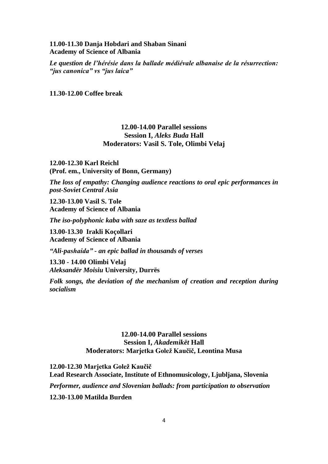## **11.00-11.30 Danja Hobdari and Shaban Sinani Academy of Science of Albania**

*Le question de l'hérésie dans la ballade médiévale albanaise de la résurrection: "jus canonica" vs "jus laica"*

**11.30-12.00 Coffee break**

## **12.00-14.00 Parallel sessions Session I,** *Aleks Buda* **Hall Moderators: Vasil S. Tole, Olimbi Velaj**

**12.00-12.30 Karl Reichl (Prof. em., University of Bonn, Germany)**

*The loss of empathy: Changing audience reactions to oral epic performances in post-Soviet Central Asia*

**12.30-13.00 Vasil S. Tole Academy of Science of Albania**

*The iso-polyphonic kaba with saze as textless ballad*

**13.00-13.30 Irakli Koçollari Academy of Science of Albania**

*"Ali-pashaida" - an epic ballad in thousands of verses*

**13.30 - 14.00 Olimbi Velaj** *Aleksandër Moisiu* **University, Durrës**

*Folk songs, the deviation of the mechanism of creation and reception during socialism*

## **12.00-14.00 Parallel sessions Session I,** *Akademikët* **Hall Moderators: Marjetka Golež Kaučič, Leontina Musa**

**12.00-12.30 Marjetka Golež Kaučič Lead Research Associate, Institute of Ethnomusicology, Ljubljana, Slovenia** *Performer, audience and Slovenian ballads: from participation to observation*

**12.30-13.00 Matilda Burden**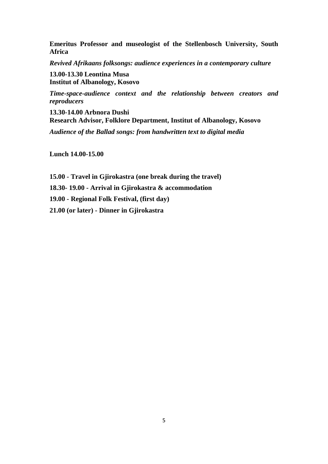**Emeritus Professor and museologist of the Stellenbosch University, South Africa**

*Revived Afrikaans folksongs: audience experiences in a contemporary culture*

**13.00-13.30 Leontina Musa Institut of Albanology, Kosovo**

*Time-space-audience context and the relationship between creators and reproducers*

**13.30-14.00 Arbnora Dushi Research Advisor, Folklore Department, Institut of Albanology, Kosovo** *Audience of the Ballad songs: from handwritten text to digital media*

**Lunch 14.00-15.00**

**15.00 - Travel in Gjirokastra (one break during the travel)**

**18.30- 19.00 - Arrival in Gjirokastra & accommodation**

**19.00 - Regional Folk Festival, (first day)**

**21.00 (or later) - Dinner in Gjirokastra**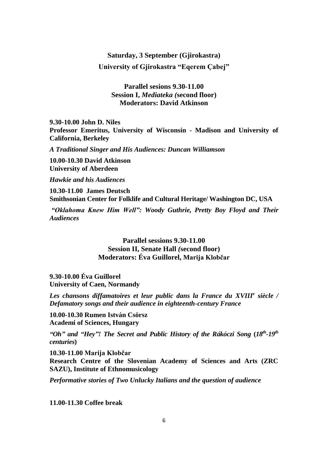### **Saturday, 3 September (Gjirokastra)**

**University of Gjirokastra "Eqerem Çabej"**

**Parallel sesions 9.30-11.00 Session I,** *Mediateka (***second floor) Moderators: David Atkinson**

**9.30-10.00 John D. Niles**

**Professor Emeritus, University of Wisconsin - Madison and University of California, Berkeley**

*A Traditional Singer and His Audiences: Duncan Williamson*

**10.00-10.30 David Atkinson University of Aberdeen**

*Hawkie and his Audiences* 

**10.30-11.00 James Deutsch Smithsonian Center for Folklife and Cultural Heritage/ Washington DC, USA**

*"Oklahoma Knew Him Well": Woody Guthrie, Pretty Boy Floyd and Their Audiences*

> **Parallel sessions 9.30-11.00 Session II, Senate Hall** *(***second floor) Moderators: Éva Guillorel, Marija Klobčar**

**9.30-10.00 Éva Guillorel University of Caen, Normandy**

*Les chansons diffamatoires et leur public dans la France du XVIII<sup>e</sup> siècle / Defamatory songs and their audience in eighteenth-century France*

**10.00-10.30 Rumen István Csörsz Academi of Sciences, Hungary**

*"Oh" and "Hey"! The Secret and Public History of the Rákóczi Song* **(***18th -19th centuries***)**

**10.30-11.00 Marija Klobčar Research Centre of the Slovenian Academy of Sciences and Arts (ZRC SAZU), Institute of Ethnomusicology**

*Performative stories of Two Unlucky Italians and the question of audience*

**11.00-11.30 Coffee break**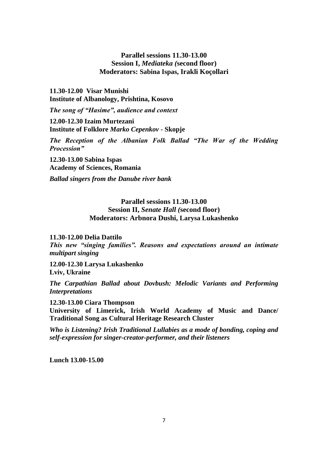## **Parallel sessions 11.30-13.00 Session I,** *Mediateka (***second floor) Moderators: Sabina Ispas, Irakli Koçollari**

**11.30-12.00 Visar Munishi Institute of Albanology, Prishtina, Kosovo**

*The song of "Hasime", audience and context*

**12.00-12.30 Izaim Murtezani Institute of Folklore** *Marko Cepenkov* **- Skopje**

*The Reception of the Albanian Folk Ballad "The War of the Wedding Procession"*

**12.30-13.00 Sabina Ispas Academy of Sciences, Romania**

*Ballad singers from the Danube river bank*

# **Parallel sessions 11.30-13.00 Session II,** *Senate Hall (***second floor) Moderators: Arbnora Dushi, Larysa Lukashenko**

#### **11.30-12.00 Delia Dattilo**

*This new "singing families". Reasons and expectations around an intimate multipart singing*

**12.00-12.30 Larysa Lukashenko Lviv, Ukraine**

*The Carpathian Ballad about Dovbush: Melodic Variants and Performing Interpretations*

**12.30-13.00 Ciara Thompson**

**University of Limerick, Irish World Academy of Music and Dance/ Traditional Song as Cultural Heritage Research Cluster**

*Who is Listening? Irish Traditional Lullabies as a mode of bonding, coping and self-expression for singer-creator-performer, and their listeners*

**Lunch 13.00-15.00**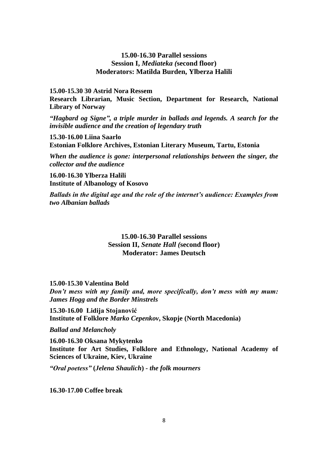## **15.00-16.30 Parallel sessions Session I,** *Mediateka (***second floor) Moderators: Matilda Burden, Ylberza Halili**

**15.00-15.30 30 Astrid Nora Ressem Research Librarian, Music Section, Department for Research, National Library of Norway**

*"Hagbard og Signe", a triple murder in ballads and legends. A search for the invisible audience and the creation of legendary truth*

**15.30-16.00 Liina Saarlo Estonian Folklore Archives, Estonian Literary Museum, Tartu, Estonia**

*When the audience is gone: interpersonal relationships between the singer, the collector and the audience*

**16.00-16.30 Ylberza Halili Institute of Albanology of Kosovo**

*Ballads in the digital age and the role of the internet's audience: Examples from two Albanian ballads*

# **15.00-16.30 Parallel sessions Session II,** *Senate Hall (***second floor) Moderator: James Deutsch**

**15.00-15.30 Valentina Bold**

*Don't mess with my family and, more specifically, don't mess with my mum: James Hogg and the Border Minstrels*

**15.30-16.00 Lidija Stojanović Institute of Folklore** *Marko Cepenkov***, Skopje (North Macedonia)**

*Ballad and Melancholy*

**16.00-16.30 Oksana Mykytenko Institute for Art Studies, Folklore and Ethnology, National Academy of Sciences of Ukraine, Kiev, Ukraine**

*"Oral poetess"* **(***Jelena Shaulich***)** *- the folk mourners*

**16.30-17.00 Coffee break**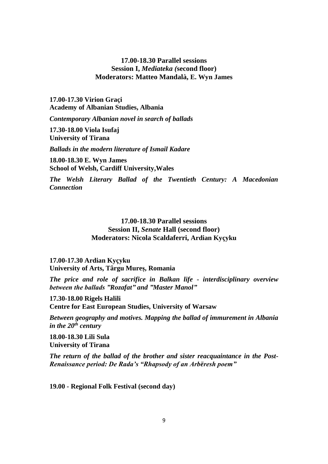# **17.00-18.30 Parallel sessions Session I,** *Mediateka (***second floor) Moderators: Matteo Mandalà, E. Wyn James**

**17.00-17.30 Virion Graçi Academy of Albanian Studies, Albania**

*Contemporary Albanian novel in search of ballads*

**17.30-18.00 Viola Isufaj University of Tirana** 

*Ballads in the modern literature of Ismail Kadare*

**18.00-18.30 E. Wyn James School of Welsh, Cardiff University,Wales**

*The Welsh Literary Ballad of the Twentieth Century: A Macedonian Connection*

> **17.00-18.30 Parallel sessions Session II,** *Senate* **Hall (second floor) Moderators: Nicola Scaldaferri, Ardian Kyçyku**

**17.00-17.30 Ardian Kyçyku University of Arts, Târgu Mureș, Romania**

*The price and role of sacrifice in Balkan life* **-** *interdisciplinary overview between the ballads "Rozafat" and "Master Manol"*

**17.30-18.00 Rigels Halili Centre for East European Studies, University of Warsaw**

*Between geography and motives. Mapping the ballad of immurement in Albania in the 20th century*

**18.00-18.30 Lili Sula University of Tirana**

*The return of the ballad of the brother and sister reacquaintance in the Post-Renaissance period: De Rada's "Rhapsody of an Arbëresh poem"* 

**19.00 - Regional Folk Festival (second day)**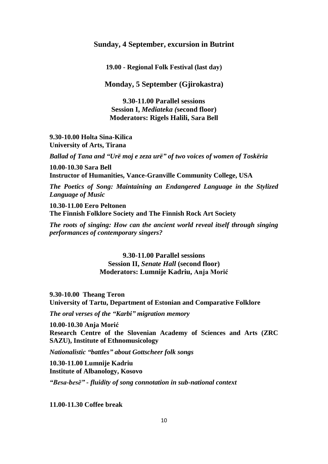### **Sunday, 4 September, excursion in Butrint**

**19.00 - Regional Folk Festival (last day)**

**Monday, 5 September (Gjirokastra)**

**9.30-11.00 Parallel sessions Session I,** *Mediateka (***second floor) Moderators: Rigels Halili, Sara Bell**

**9.30-10.00 Holta Sina-Kilica University of Arts, Tirana**

*Ballad of Tana and "Urë moj e zeza urë" of two voices of women of Toskëria* 

**10.00-10.30 Sara Bell Instructor of Humanities, Vance-Granville Community College, USA**

*The Poetics of Song: Maintaining an Endangered Language in the Stylized Language of Music*

**10.30-11.00 Eero Peltonen The Finnish Folklore Society and The Finnish Rock Art Society**

*The roots of singing: How can the ancient world reveal itself through singing performances of contemporary singers?*

> **9.30-11.00 Parallel sessions Session II,** *Senate Hall* **(second floor) Moderators: Lumnije Kadriu, Anja Morić**

**9.30-10.00 Theang Teron University of Tartu, Department of Estonian and Comparative Folklore**

*The oral verses of the "Karbi" migration memory*

**10.00-10.30 Anja Morić Research Centre of the Slovenian Academy of Sciences and Arts (ZRC SAZU), Institute of Ethnomusicology**

*Nationalistic "battles" about Gottscheer folk songs*

**10.30-11.00 Lumnije Kadriu Institute of Albanology, Kosovo**

*"Besa-besë" - fluidity of song connotation in sub-national context*

**11.00-11.30 Coffee break**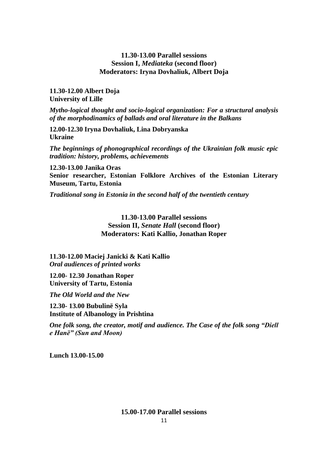## **11.30-13.00 Parallel sessions Session I,** *Mediateka* **(second floor) Moderators: Iryna Dovhaliuk, Albert Doja**

**11.30-12.00 Albert Doja University of Lille**

*Mytho-logical thought and socio-logical organization: For a structural analysis of the morphodinamics of ballads and oral literature in the Balkans*

**12.00-12.30 Iryna Dovhaliuk, Lina Dobryanska Ukraine**

*The beginnings of phonographical recordings of the Ukrainian folk music epic tradition: history, problems, achievements*

**12.30-13.00 Janika Oras Senior researcher, Estonian Folklore Archives of the Estonian Literary Museum, Tartu, Estonia**

*Traditional song in Estonia in the second half of the twentieth century*

**11.30-13.00 Parallel sessions Session II,** *Senate Hall* **(second floor) Moderators: Kati Kallio, Jonathan Roper**

**11.30-12.00 Maciej Janicki & Kati Kallio** *Oral audiences of printed works*

**12.00- 12.30 Jonathan Roper University of Tartu, Estonia**

*The Old World and the New*

**12.30- 13.00 Bubulinë Syla Institute of Albanology in Prishtina**

*One folk song, the creator, motif and audience. The Case of the folk song "Diell e Hanë" (Sun and Moon)*

**Lunch 13.00-15.00**

## **15.00-17.00 Parallel sessions**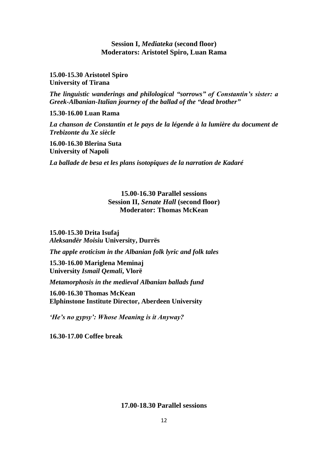## **Session I,** *Mediateka* **(second floor) Moderators: Aristotel Spiro, Luan Rama**

**15.00-15.30 Aristotel Spiro University of Tirana**

*The linguistic wanderings and philological "sorrows" of Constantin's sister: a Greek-Albanian-Italian journey of the ballad of the "dead brother"*

**15.30-16.00 Luan Rama**

*La chanson de Constantin et le pays de la légende à la lumière du document de Trebizonte du Xe siècle*

**16.00-16.30 Blerina Suta University of Napoli**

*La ballade de besa et les plans isotopiques de la narration de Kadaré*

**15.00-16.30 Parallel sessions Session II,** *Senate Hall* **(second floor) Moderator: Thomas McKean**

**15.00-15.30 Drita Isufaj** *Aleksandër Moisiu* **University, Durrës**

*The apple eroticism in the Albanian folk lyric and folk tales*

**15.30-16.00 Mariglena Meminaj University** *Ismail Qemali***, Vlorë**

*Metamorphosis in the medieval Albanian ballads fund*

**16.00-16.30 Thomas McKean Elphinstone Institute Director, Aberdeen University**

*'He's no gypsy': Whose Meaning is it Anyway?*

**16.30-17.00 Coffee break**

#### **17.00-18.30 Parallel sessions**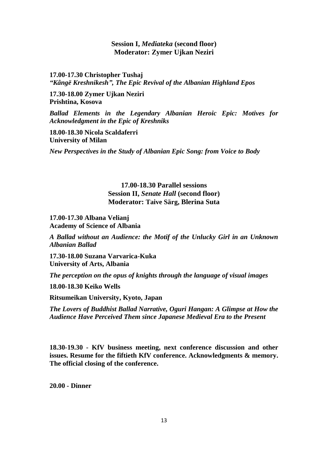## **Session I,** *Mediateka* **(second floor) Moderator: Zymer Ujkan Neziri**

**17.00-17.30 Christopher Tushaj** *"Kângë Kreshnikesh", The Epic Revival of the Albanian Highland Epos*

**17.30-18.00 Zymer Ujkan Neziri Prishtina, Kosova**

*Ballad Elements in the Legendary Albanian Heroic Epic: Motives for Acknowledgment in the Epic of Kreshniks*

**18.00-18.30 Nicola Scaldaferri University of Milan**

*New Perspectives in the Study of Albanian Epic Song: from Voice to Body*

**17.00-18.30 Parallel sessions Session II,** *Senate Hall* **(second floor) Moderator: Taive Särg, Blerina Suta**

**17.00-17.30 Albana Velianj Academy of Science of Albania**

*A Ballad without an Audience: the Motif of the Unlucky Girl in an Unknown Albanian Ballad*

**17.30-18.00 Suzana Varvarica-Kuka University of Arts, Albania**

*The perception on the opus of knights through the language of visual images*

**18.00-18.30 Keiko Wells**

**Ritsumeikan University, Kyoto, Japan**

*The Lovers of Buddhist Ballad Narrative, Oguri Hangan: A Glimpse at How the Audience Have Perceived Them since Japanese Medieval Era to the Present*

**18.30-19.30 - KfV business meeting, next conference discussion and other issues. Resume for the fiftieth KfV conference. Acknowledgments & memory. The official closing of the conference.**

**20.00 - Dinner**